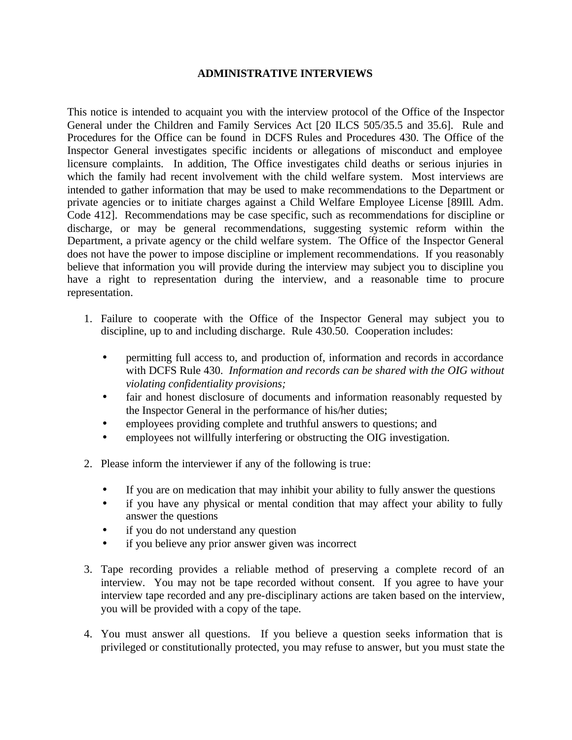## **ADMINISTRATIVE INTERVIEWS**

This notice is intended to acquaint you with the interview protocol of the Office of the Inspector General under the Children and Family Services Act [20 ILCS 505/35.5 and 35.6]. Rule and Procedures for the Office can be found in DCFS Rules and Procedures 430. The Office of the Inspector General investigates specific incidents or allegations of misconduct and employee licensure complaints. In addition, The Office investigates child deaths or serious injuries in which the family had recent involvement with the child welfare system. Most interviews are intended to gather information that may be used to make recommendations to the Department or private agencies or to initiate charges against a Child Welfare Employee License [89Ill. Adm. Code 412]. Recommendations may be case specific, such as recommendations for discipline or discharge, or may be general recommendations, suggesting systemic reform within the Department, a private agency or the child welfare system. The Office of the Inspector General does not have the power to impose discipline or implement recommendations. If you reasonably believe that information you will provide during the interview may subject you to discipline you have a right to representation during the interview, and a reasonable time to procure representation.

- 1. Failure to cooperate with the Office of the Inspector General may subject you to discipline, up to and including discharge. Rule 430.50. Cooperation includes:
	- permitting full access to, and production of, information and records in accordance with DCFS Rule 430. *Information and records can be shared with the OIG without violating confidentiality provisions;*
	- fair and honest disclosure of documents and information reasonably requested by the Inspector General in the performance of his/her duties;
	- employees providing complete and truthful answers to questions; and
	- employees not willfully interfering or obstructing the OIG investigation.
- 2. Please inform the interviewer if any of the following is true:
	- If you are on medication that may inhibit your ability to fully answer the questions
	- if you have any physical or mental condition that may affect your ability to fully answer the questions
	- if you do not understand any question
	- if you believe any prior answer given was incorrect
- 3. Tape recording provides a reliable method of preserving a complete record of an interview. You may not be tape recorded without consent. If you agree to have your interview tape recorded and any pre-disciplinary actions are taken based on the interview, you will be provided with a copy of the tape.
- 4. You must answer all questions. If you believe a question seeks information that is privileged or constitutionally protected, you may refuse to answer, but you must state the